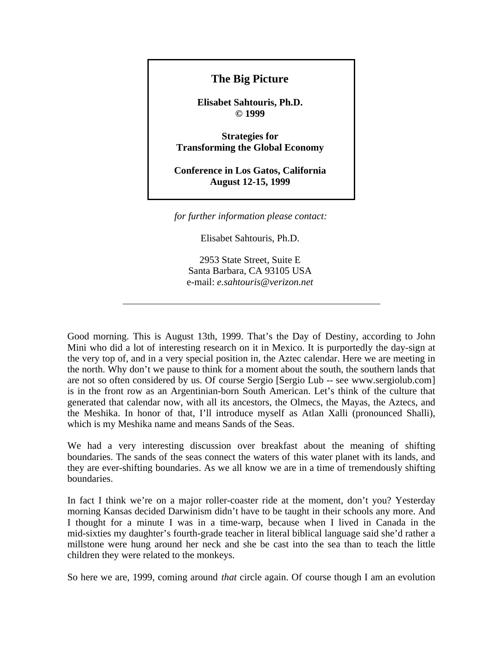## **The Big Picture**

**Elisabet Sahtouris, Ph.D. © 1999** 

**Strategies for Transforming the Global Economy** 

**Conference in Los Gatos, California August 12-15, 1999** 

*for further information please contact:*

Elisabet Sahtouris, Ph.D.

2953 State Street, Suite E Santa Barbara, CA 93105 USA e-mail: *e.sahtouris@verizon.net*

Good morning. This is August 13th, 1999. That's the Day of Destiny, according to John Mini who did a lot of interesting research on it in Mexico. It is purportedly the day-sign at the very top of, and in a very special position in, the Aztec calendar. Here we are meeting in the north. Why don't we pause to think for a moment about the south, the southern lands that are not so often considered by us. Of course Sergio [Sergio Lub -- see www.sergiolub.com] is in the front row as an Argentinian-born South American. Let's think of the culture that generated that calendar now, with all its ancestors, the Olmecs, the Mayas, the Aztecs, and the Meshika. In honor of that, I'll introduce myself as Atlan Xalli (pronounced Shalli), which is my Meshika name and means Sands of the Seas.

We had a very interesting discussion over breakfast about the meaning of shifting boundaries. The sands of the seas connect the waters of this water planet with its lands, and they are ever-shifting boundaries. As we all know we are in a time of tremendously shifting boundaries.

In fact I think we're on a major roller-coaster ride at the moment, don't you? Yesterday morning Kansas decided Darwinism didn't have to be taught in their schools any more. And I thought for a minute I was in a time-warp, because when I lived in Canada in the mid-sixties my daughter's fourth-grade teacher in literal biblical language said she'd rather a millstone were hung around her neck and she be cast into the sea than to teach the little children they were related to the monkeys.

So here we are, 1999, coming around *that* circle again. Of course though I am an evolution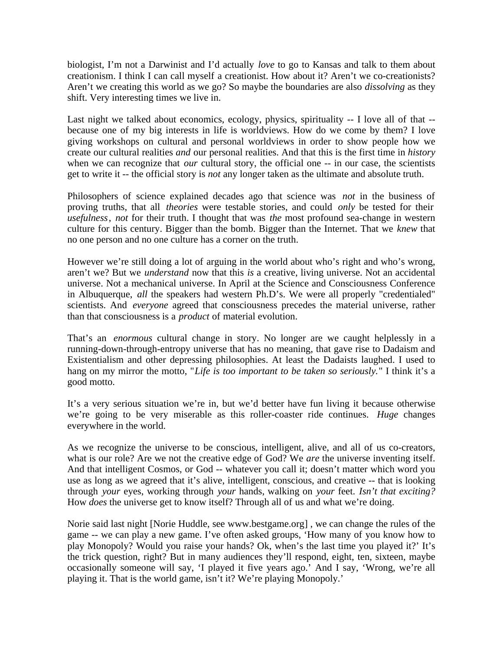biologist, I'm not a Darwinist and I'd actually *love* to go to Kansas and talk to them about creationism. I think I can call myself a creationist. How about it? Aren't we co-creationists? Aren't we creating this world as we go? So maybe the boundaries are also *dissolving* as they shift. Very interesting times we live in.

Last night we talked about economics, ecology, physics, spirituality -- I love all of that - because one of my big interests in life is worldviews. How do we come by them? I love giving workshops on cultural and personal worldviews in order to show people how we create our cultural realities *and* our personal realities. And that this is the first time in *history* when we can recognize that *our* cultural story, the official one -- in our case, the scientists get to write it -- the official story is *not* any longer taken as the ultimate and absolute truth.

Philosophers of science explained decades ago that science was *not* in the business of proving truths, that all *theories* were testable stories, and could *only* be tested for their *usefulness*, *not* for their truth. I thought that was *the* most profound sea-change in western culture for this century. Bigger than the bomb. Bigger than the Internet. That we *knew* that no one person and no one culture has a corner on the truth.

However we're still doing a lot of arguing in the world about who's right and who's wrong, aren't we? But we *understand* now that this *is* a creative, living universe. Not an accidental universe. Not a mechanical universe. In April at the Science and Consciousness Conference in Albuquerque, *all* the speakers had western Ph.D's. We were all properly "credentialed" scientists. And *everyone* agreed that consciousness precedes the material universe, rather than that consciousness is a *product* of material evolution.

That's an *enormous* cultural change in story. No longer are we caught helplessly in a running-down-through-entropy universe that has no meaning, that gave rise to Dadaism and Existentialism and other depressing philosophies. At least the Dadaists laughed. I used to hang on my mirror the motto, "*Life is too important to be taken so seriously.*" I think it's a good motto.

It's a very serious situation we're in, but we'd better have fun living it because otherwise we're going to be very miserable as this roller-coaster ride continues. *Huge* changes everywhere in the world.

As we recognize the universe to be conscious, intelligent, alive, and all of us co-creators, what is our role? Are we not the creative edge of God? We *are* the universe inventing itself. And that intelligent Cosmos, or God -- whatever you call it; doesn't matter which word you use as long as we agreed that it's alive, intelligent, conscious, and creative -- that is looking through *your* eyes, working through *your* hands, walking on *your* feet. *Isn't that exciting?* How *does* the universe get to know itself? Through all of us and what we're doing.

Norie said last night [Norie Huddle, see www.bestgame.org] , we can change the rules of the game -- we can play a new game. I've often asked groups, 'How many of you know how to play Monopoly? Would you raise your hands? Ok, when's the last time you played it?' It's the trick question, right? But in many audiences they'll respond, eight, ten, sixteen, maybe occasionally someone will say, 'I played it five years ago.' And I say, 'Wrong, we're all playing it. That is the world game, isn't it? We're playing Monopoly.'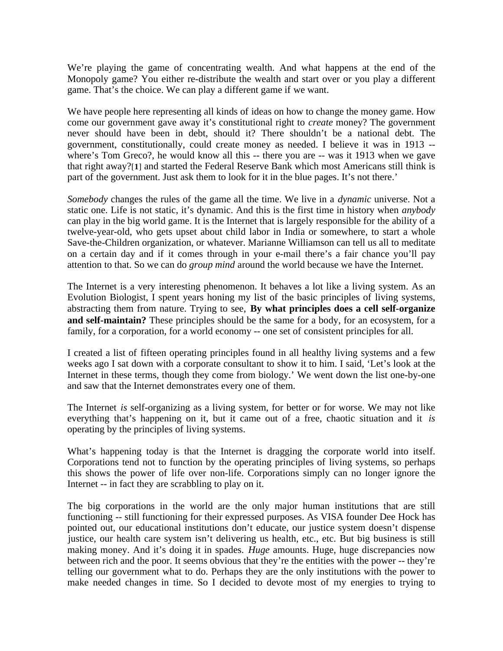We're playing the game of concentrating wealth. And what happens at the end of the Monopoly game? You either re-distribute the wealth and start over or you play a different game. That's the choice. We can play a different game if we want.

We have people here representing all kinds of ideas on how to change the money game. How come our government gave away it's constitutional right to *create* money? The government never should have been in debt, should it? There shouldn't be a national debt. The government, constitutionally, could create money as needed. I believe it was in 1913 - where's Tom Greco?, he would know all this -- there you are -- was it 1913 when we gave that right away?[**1**] and started the Federal Reserve Bank which most Americans still think is part of the government. Just ask them to look for it in the blue pages. It's not there.'

*Somebody* changes the rules of the game all the time. We live in a *dynamic* universe. Not a static one. Life is not static, it's dynamic. And this is the first time in history when *anybody* can play in the big world game. It is the Internet that is largely responsible for the ability of a twelve-year-old, who gets upset about child labor in India or somewhere, to start a whole Save-the-Children organization, or whatever. Marianne Williamson can tell us all to meditate on a certain day and if it comes through in your e-mail there's a fair chance you'll pay attention to that. So we can do *group mind* around the world because we have the Internet.

The Internet is a very interesting phenomenon. It behaves a lot like a living system. As an Evolution Biologist, I spent years honing my list of the basic principles of living systems, abstracting them from nature. Trying to see, **By what principles does a cell self-organize and self-maintain?** These principles should be the same for a body, for an ecosystem, for a family, for a corporation, for a world economy -- one set of consistent principles for all.

I created a list of fifteen operating principles found in all healthy living systems and a few weeks ago I sat down with a corporate consultant to show it to him. I said, 'Let's look at the Internet in these terms, though they come from biology.' We went down the list one-by-one and saw that the Internet demonstrates every one of them.

The Internet *is* self-organizing as a living system, for better or for worse. We may not like everything that's happening on it, but it came out of a free, chaotic situation and it *is* operating by the principles of living systems.

What's happening today is that the Internet is dragging the corporate world into itself. Corporations tend not to function by the operating principles of living systems, so perhaps this shows the power of life over non-life. Corporations simply can no longer ignore the Internet -- in fact they are scrabbling to play on it.

The big corporations in the world are the only major human institutions that are still functioning -- still functioning for their expressed purposes. As VISA founder Dee Hock has pointed out, our educational institutions don't educate, our justice system doesn't dispense justice, our health care system isn't delivering us health, etc., etc. But big business is still making money. And it's doing it in spades. *Huge* amounts. Huge, huge discrepancies now between rich and the poor. It seems obvious that they're the entities with the power -- they're telling our government what to do. Perhaps they are the only institutions with the power to make needed changes in time. So I decided to devote most of my energies to trying to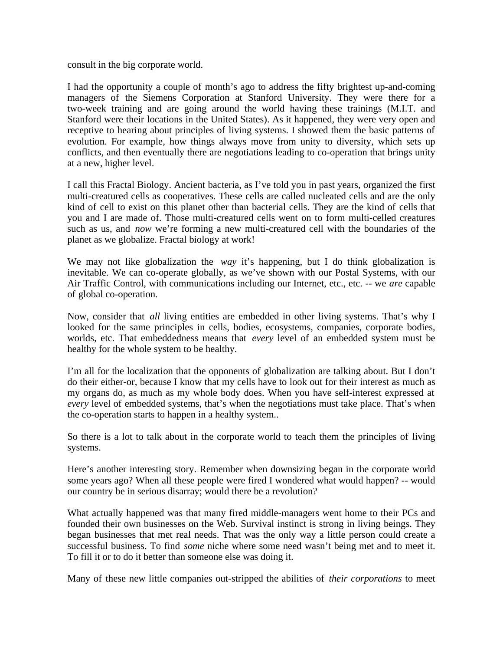consult in the big corporate world.

I had the opportunity a couple of month's ago to address the fifty brightest up-and-coming managers of the Siemens Corporation at Stanford University. They were there for a two-week training and are going around the world having these trainings (M.I.T. and Stanford were their locations in the United States). As it happened, they were very open and receptive to hearing about principles of living systems. I showed them the basic patterns of evolution. For example, how things always move from unity to diversity, which sets up conflicts, and then eventually there are negotiations leading to co-operation that brings unity at a new, higher level.

I call this Fractal Biology. Ancient bacteria, as I've told you in past years, organized the first multi-creatured cells as cooperatives. These cells are called nucleated cells and are the only kind of cell to exist on this planet other than bacterial cells. They are the kind of cells that you and I are made of. Those multi-creatured cells went on to form multi-celled creatures such as us, and *now* we're forming a new multi-creatured cell with the boundaries of the planet as we globalize. Fractal biology at work!

We may not like globalization the *way* it's happening, but I do think globalization is inevitable. We can co-operate globally, as we've shown with our Postal Systems, with our Air Traffic Control, with communications including our Internet, etc., etc. -- we *are* capable of global co-operation.

Now, consider that *all* living entities are embedded in other living systems. That's why I looked for the same principles in cells, bodies, ecosystems, companies, corporate bodies, worlds, etc. That embeddedness means that *every* level of an embedded system must be healthy for the whole system to be healthy.

I'm all for the localization that the opponents of globalization are talking about. But I don't do their either-or, because I know that my cells have to look out for their interest as much as my organs do, as much as my whole body does. When you have self-interest expressed at *every* level of embedded systems, that's when the negotiations must take place. That's when the co-operation starts to happen in a healthy system..

So there is a lot to talk about in the corporate world to teach them the principles of living systems.

Here's another interesting story. Remember when downsizing began in the corporate world some years ago? When all these people were fired I wondered what would happen? -- would our country be in serious disarray; would there be a revolution?

What actually happened was that many fired middle-managers went home to their PCs and founded their own businesses on the Web. Survival instinct is strong in living beings. They began businesses that met real needs. That was the only way a little person could create a successful business. To find *some* niche where some need wasn't being met and to meet it. To fill it or to do it better than someone else was doing it.

Many of these new little companies out-stripped the abilities of *their corporations* to meet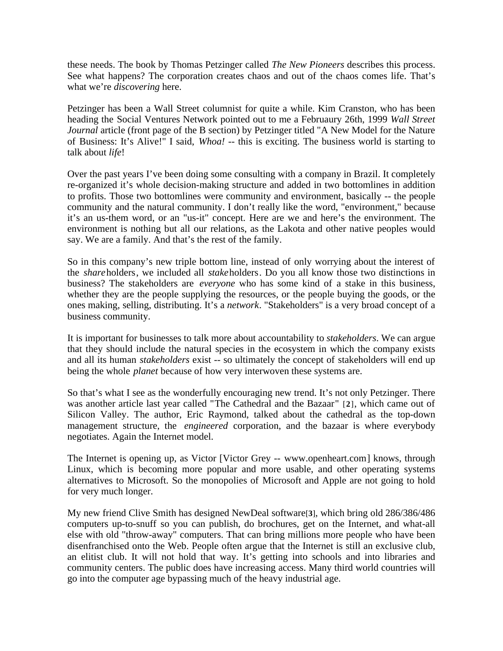these needs. The book by Thomas Petzinger called *The New Pioneers* describes this process. See what happens? The corporation creates chaos and out of the chaos comes life. That's what we're *discovering* here.

Petzinger has been a Wall Street columnist for quite a while. Kim Cranston, who has been heading the Social Ventures Network pointed out to me a Februaury 26th, 1999 *Wall Street Journal* article (front page of the B section) by Petzinger titled "A New Model for the Nature of Business: It's Alive!" I said, *Whoa!* -- this is exciting. The business world is starting to talk about *life*!

Over the past years I've been doing some consulting with a company in Brazil. It completely re-organized it's whole decision-making structure and added in two bottomlines in addition to profits. Those two bottomlines were community and environment, basically -- the people community and the natural community. I don't really like the word, "environment," because it's an us-them word, or an "us-it" concept. Here are we and here's the environment. The environment is nothing but all our relations, as the Lakota and other native peoples would say. We are a family. And that's the rest of the family.

So in this company's new triple bottom line, instead of only worrying about the interest of the *share*holders, we included all *stake*holders. Do you all know those two distinctions in business? The stakeholders are *everyone* who has some kind of a stake in this business, whether they are the people supplying the resources, or the people buying the goods, or the ones making, selling, distributing. It's a *network*. "Stakeholders" is a very broad concept of a business community.

It is important for businesses to talk more about accountability to *stakeholders*. We can argue that they should include the natural species in the ecosystem in which the company exists and all its human *stakeholders* exist -- so ultimately the concept of stakeholders will end up being the whole *planet* because of how very interwoven these systems are.

So that's what I see as the wonderfully encouraging new trend. It's not only Petzinger. There was another article last year called "The Cathedral and the Bazaar" [**2**], which came out of Silicon Valley. The author, Eric Raymond, talked about the cathedral as the top-down management structure, the *engineered* corporation, and the bazaar is where everybody negotiates. Again the Internet model.

The Internet is opening up, as Victor [Victor Grey -- www.openheart.com] knows, through Linux, which is becoming more popular and more usable, and other operating systems alternatives to Microsoft. So the monopolies of Microsoft and Apple are not going to hold for very much longer.

My new friend Clive Smith has designed NewDeal software[**3**], which bring old 286/386/486 computers up-to-snuff so you can publish, do brochures, get on the Internet, and what-all else with old "throw-away" computers. That can bring millions more people who have been disenfranchised onto the Web. People often argue that the Internet is still an exclusive club, an elitist club. It will not hold that way. It's getting into schools and into libraries and community centers. The public does have increasing access. Many third world countries will go into the computer age bypassing much of the heavy industrial age.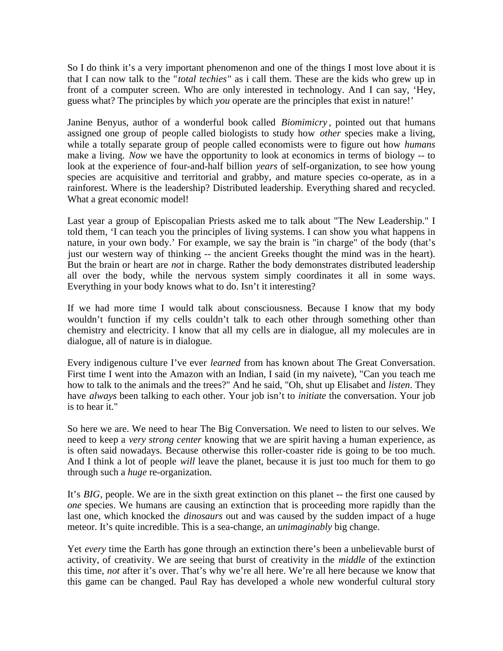So I do think it's a very important phenomenon and one of the things I most love about it is that I can now talk to the "*total techies*" as i call them. These are the kids who grew up in front of a computer screen. Who are only interested in technology. And I can say, 'Hey, guess what? The principles by which *you* operate are the principles that exist in nature!'

Janine Benyus, author of a wonderful book called *Biomimicry* , pointed out that humans assigned one group of people called biologists to study how *other* species make a living, while a totally separate group of people called economists were to figure out how *humans* make a living. *Now* we have the opportunity to look at economics in terms of biology -- to look at the experience of four-and-half billion *years* of self-organization, to see how young species are acquisitive and territorial and grabby, and mature species co-operate, as in a rainforest. Where is the leadership? Distributed leadership. Everything shared and recycled. What a great economic model!

Last year a group of Episcopalian Priests asked me to talk about "The New Leadership." I told them, 'I can teach you the principles of living systems. I can show you what happens in nature, in your own body.' For example, we say the brain is "in charge" of the body (that's just our western way of thinking -- the ancient Greeks thought the mind was in the heart). But the brain or heart are *not* in charge. Rather the body demonstrates distributed leadership all over the body, while the nervous system simply coordinates it all in some ways. Everything in your body knows what to do. Isn't it interesting?

If we had more time I would talk about consciousness. Because I know that my body wouldn't function if my cells couldn't talk to each other through something other than chemistry and electricity. I know that all my cells are in dialogue, all my molecules are in dialogue, all of nature is in dialogue.

Every indigenous culture I've ever *learned* from has known about The Great Conversation. First time I went into the Amazon with an Indian, I said (in my naivete), "Can you teach me how to talk to the animals and the trees?" And he said, "Oh, shut up Elisabet and *listen*. They have *always* been talking to each other. Your job isn't to *initiate* the conversation. Your job is to hear it."

So here we are. We need to hear The Big Conversation. We need to listen to our selves. We need to keep a *very strong center* knowing that we are spirit having a human experience, as is often said nowadays. Because otherwise this roller-coaster ride is going to be too much. And I think a lot of people *will* leave the planet, because it is just too much for them to go through such a *huge* re-organization.

It's *BIG*, people. We are in the sixth great extinction on this planet -- the first one caused by *one* species. We humans are causing an extinction that is proceeding more rapidly than the last one, which knocked the *dinosaurs* out and was caused by the sudden impact of a huge meteor. It's quite incredible. This is a sea-change, an *unimaginably* big change.

Yet *every* time the Earth has gone through an extinction there's been a unbelievable burst of activity, of creativity. We are seeing that burst of creativity in the *middle* of the extinction this time, *not* after it's over. That's why we're all here. We're all here because we know that this game can be changed. Paul Ray has developed a whole new wonderful cultural story